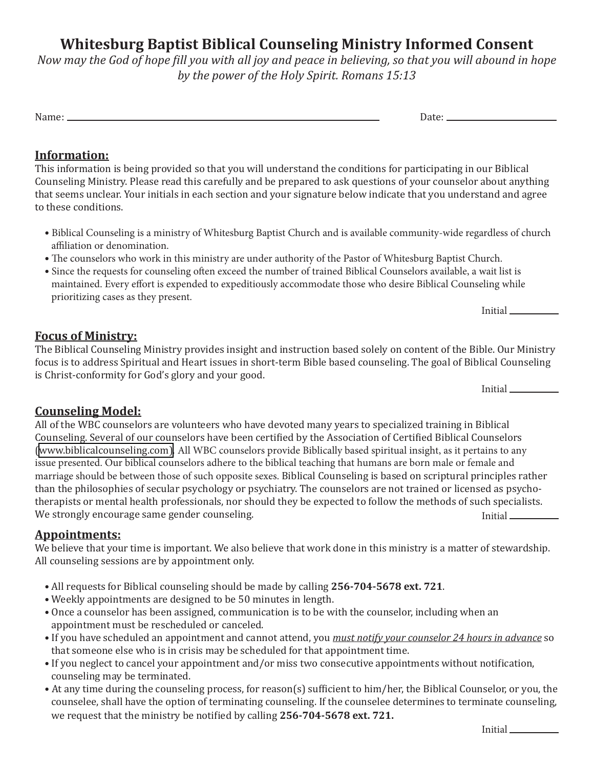# **Whitesburg Baptist Biblical Counseling Ministry Informed Consent**

*Now may the God of hope fill you with all joy and peace in believing, so that you will abound in hope by the power of the Holy Spirit. Romans 15:13*

Name: Date:

#### **Information:**

This information is being provided so that you will understand the conditions for participating in our Biblical Counseling Ministry. Please read this carefully and be prepared to ask questions of your counselor about anything that seems unclear. Your initials in each section and your signature below indicate that you understand and agree to these conditions.

- Biblical Counseling is a ministry of Whitesburg Baptist Church and is available community-wide regardless of church affiliation or denomination.
- The counselors who work in this ministry are under authority of the Pastor of Whitesburg Baptist Church.
- Since the requests for counseling often exceed the number of trained Biblical Counselors available, a wait list is maintained. Every effort is expended to expeditiously accommodate those who desire Biblical Counseling while prioritizing cases as they present.

Initial

#### **Focus of Ministry:**

The Biblical Counseling Ministry provides insight and instruction based solely on content of the Bible. Our Ministry focus is to address Spiritual and Heart issues in short-term Bible based counseling. The goal of Biblical Counseling is Christ-conformity for God's glory and your good.

Initial

### **Counseling Model:**

All of the WBC counselors are volunteers who have devoted many years to specialized training in Biblical Counseling. Several of our counselors have been certified by the Association of Certified Biblical Counselors [\(www.biblicalcounseling.com\)](www.biblicalcounseling.com). All WBC counselors provide Biblically based spiritual insight, as it pertains to any issue presented. Our biblical counselors adhere to the biblical teaching that humans are born male or female and marriage should be between those of such opposite sexes. Biblical Counseling is based on scriptural principles rather than the philosophies of secular psychology or psychiatry. The counselors are not trained or licensed as psychotherapists or mental health professionals, nor should they be expected to follow the methods of such specialists. We strongly encourage same gender counseling. Initial example of the strongly encourage same gender counseling.

#### **Appointments:**

We believe that your time is important. We also believe that work done in this ministry is a matter of stewardship. All counseling sessions are by appointment only.

- All requests for Biblical counseling should be made by calling **256-704-5678 ext. 721**.
- Weekly appointments are designed to be 50 minutes in length.
- Once a counselor has been assigned, communication is to be with the counselor, including when an appointment must be rescheduled or canceled.
- If you have scheduled an appointment and cannot attend, you *must notify your counselor 24 hours in advance* so that someone else who is in crisis may be scheduled for that appointment time.
- If you neglect to cancel your appointment and/or miss two consecutive appointments without notification, counseling may be terminated.
- At any time during the counseling process, for reason(s) sufficient to him/her, the Biblical Counselor, or you, the counselee, shall have the option of terminating counseling. If the counselee determines to terminate counseling, we request that the ministry be notified by calling **256-704-5678 ext. 721.**